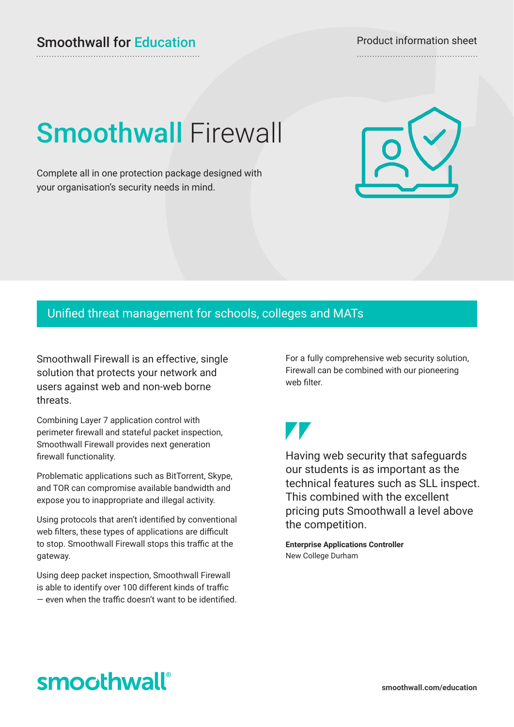# **Smoothwall Firewall**

Complete all in one protection package designed with your organisation's security needs in mind.

### Unified threat management for schools, colleges and MATs

Smoothwall Firewall is an effective, single solution that protects your network and users against web and non-web borne threats.

Combining Layer 7 application control with perimeter firewall and stateful packet inspection, Smoothwall Firewall provides next generation firewall functionality.

Problematic applications such as BitTorrent, Skype, and TOR can compromise available bandwidth and expose you to inappropriate and illegal activity.

Using protocols that aren't identified by conventional web filters, these types of applications are difficult to stop. Smoothwall Firewall stops this traffic at the gateway.

Using deep packet inspection, Smoothwall Firewall is able to identify over 100 different kinds of traffic — even when the traffic doesn't want to be identified. For a fully comprehensive web security solution, Firewall can be combined with our pioneering web filter.

Having web security that safeguards our students is as important as the technical features such as SLL inspect. This combined with the excellent pricing puts Smoothwall a level above the competition.

**Enterprise Applications Controller** New College Durham